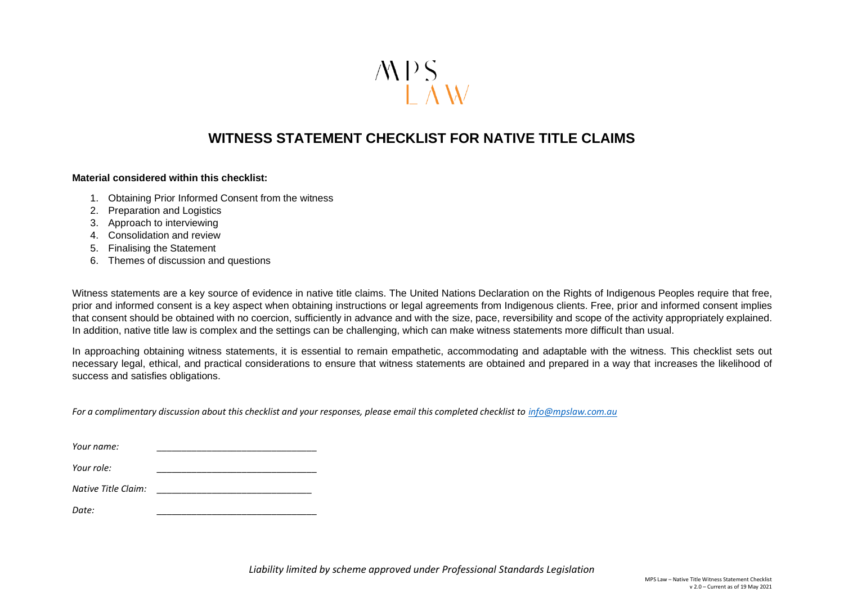

## **WITNESS STATEMENT CHECKLIST FOR NATIVE TITLE CLAIMS**

## **Material considered within this checklist:**

- 1. Obtaining Prior Informed Consent from the witness
- 2. Preparation and Logistics
- 3. Approach to interviewing
- 4. Consolidation and review
- 5. Finalising the Statement
- 6. Themes of discussion and questions

Witness statements are a key source of evidence in native title claims. The United Nations Declaration on the Rights of Indigenous Peoples require that free, prior and informed consent is a key aspect when obtaining instructions or legal agreements from Indigenous clients. Free, prior and informed consent implies that consent should be obtained with no coercion, sufficiently in advance and with the size, pace, reversibility and scope of the activity appropriately explained. In addition, native title law is complex and the settings can be challenging, which can make witness statements more difficult than usual.

In approaching obtaining witness statements, it is essential to remain empathetic, accommodating and adaptable with the witness. This checklist sets out necessary legal, ethical, and practical considerations to ensure that witness statements are obtained and prepared in a way that increases the likelihood of success and satisfies obligations.

*For a complimentary discussion about this checklist and your responses, please email this completed checklist to [info@mpslaw.com.au](mailto:info@mpslaw.com.au)*

| Your name: |  |
|------------|--|
| Your role: |  |

*Native Title Claim: \_\_\_\_\_\_\_\_\_\_\_\_\_\_\_\_\_\_\_\_\_\_\_\_\_\_\_\_\_\_\_*

*Date: \_\_\_\_\_\_\_\_\_\_\_\_\_\_\_\_\_\_\_\_\_\_\_\_\_\_\_\_\_\_\_\_*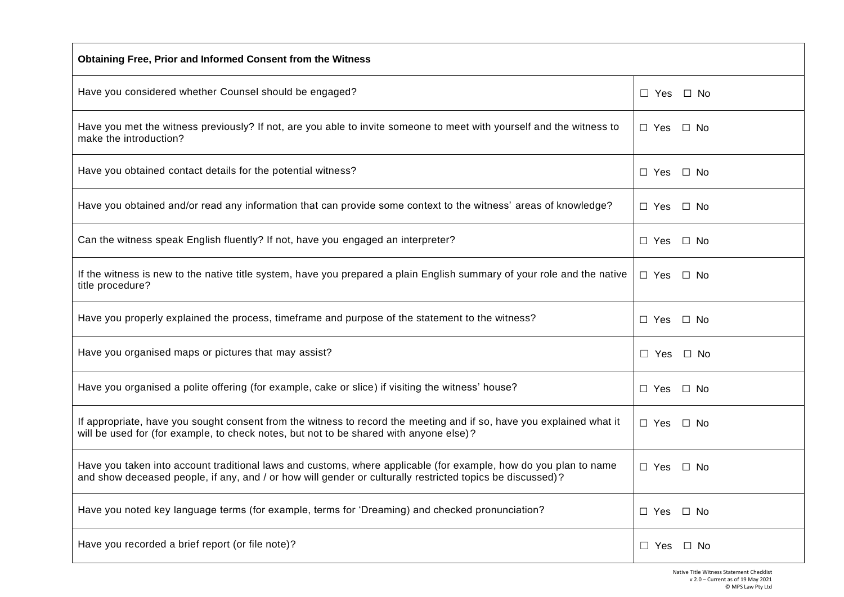| Obtaining Free, Prior and Informed Consent from the Witness                                                                                                                                                                   |                            |  |
|-------------------------------------------------------------------------------------------------------------------------------------------------------------------------------------------------------------------------------|----------------------------|--|
| Have you considered whether Counsel should be engaged?                                                                                                                                                                        | $\Box$ Yes<br>$\Box$ No    |  |
| Have you met the witness previously? If not, are you able to invite someone to meet with yourself and the witness to<br>make the introduction?                                                                                | □ Yes<br>$\square$ No      |  |
| Have you obtained contact details for the potential witness?                                                                                                                                                                  | □ Yes<br>$\Box$ No         |  |
| Have you obtained and/or read any information that can provide some context to the witness' areas of knowledge?                                                                                                               | □ No<br>□ Yes              |  |
| Can the witness speak English fluently? If not, have you engaged an interpreter?                                                                                                                                              | □ Yes<br>□ No              |  |
| If the witness is new to the native title system, have you prepared a plain English summary of your role and the native<br>title procedure?                                                                                   | $\Box$ Yes $\Box$ No       |  |
| Have you properly explained the process, timeframe and purpose of the statement to the witness?                                                                                                                               | $\square$ Yes<br>$\Box$ No |  |
| Have you organised maps or pictures that may assist?                                                                                                                                                                          | $\Box$ Yes<br>$\Box$ No    |  |
| Have you organised a polite offering (for example, cake or slice) if visiting the witness' house?                                                                                                                             | $\Box$ Yes<br>$\Box$ No    |  |
| If appropriate, have you sought consent from the witness to record the meeting and if so, have you explained what it<br>will be used for (for example, to check notes, but not to be shared with anyone else)?                | □ Yes<br>⊟ No              |  |
| Have you taken into account traditional laws and customs, where applicable (for example, how do you plan to name<br>and show deceased people, if any, and / or how will gender or culturally restricted topics be discussed)? | $\Box$ Yes $\Box$ No       |  |
| Have you noted key language terms (for example, terms for 'Dreaming) and checked pronunciation?                                                                                                                               | $\Box$ No<br>□ Yes         |  |
| Have you recorded a brief report (or file note)?                                                                                                                                                                              | $\Box$ No<br>$\Box$ Yes    |  |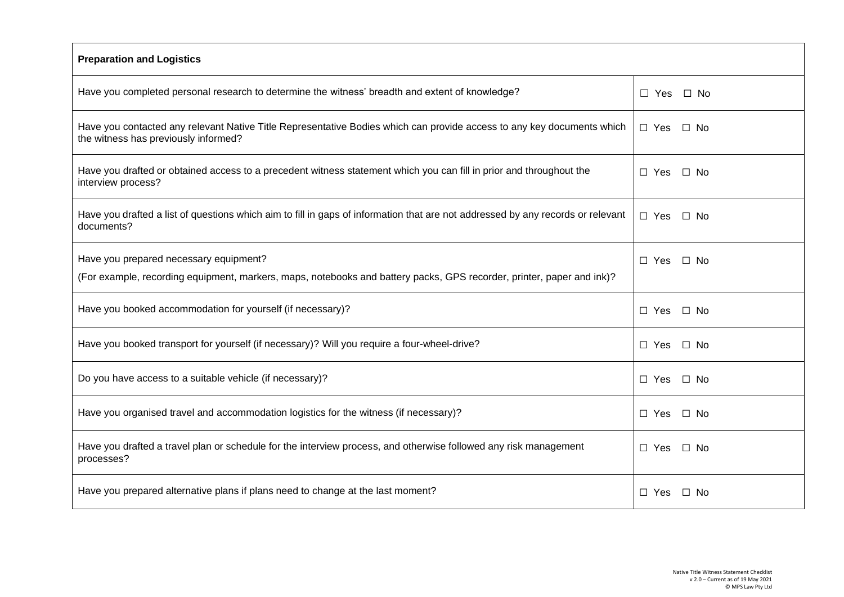| <b>Preparation and Logistics</b>                                                                                                                                |                         |  |  |
|-----------------------------------------------------------------------------------------------------------------------------------------------------------------|-------------------------|--|--|
| Have you completed personal research to determine the witness' breadth and extent of knowledge?                                                                 | $\Box$ No<br>$\Box$ Yes |  |  |
| Have you contacted any relevant Native Title Representative Bodies which can provide access to any key documents which<br>the witness has previously informed?  | $\Box$ Yes<br>□ No      |  |  |
| Have you drafted or obtained access to a precedent witness statement which you can fill in prior and throughout the<br>interview process?                       | $\Box$ Yes<br>$\Box$ No |  |  |
| Have you drafted a list of questions which aim to fill in gaps of information that are not addressed by any records or relevant<br>documents?                   | $\Box$ Yes<br>$\Box$ No |  |  |
| Have you prepared necessary equipment?<br>(For example, recording equipment, markers, maps, notebooks and battery packs, GPS recorder, printer, paper and ink)? | $\Box$ No<br>$\Box$ Yes |  |  |
| Have you booked accommodation for yourself (if necessary)?                                                                                                      | $\Box$ Yes<br>□ No      |  |  |
| Have you booked transport for yourself (if necessary)? Will you require a four-wheel-drive?                                                                     | $\Box$ No<br>□ Yes      |  |  |
| Do you have access to a suitable vehicle (if necessary)?                                                                                                        | $\Box$ Yes<br>$\Box$ No |  |  |
| Have you organised travel and accommodation logistics for the witness (if necessary)?                                                                           | $\Box$ No<br>□ Yes      |  |  |
| Have you drafted a travel plan or schedule for the interview process, and otherwise followed any risk management<br>processes?                                  | □ Yes<br>$\Box$ No      |  |  |
| Have you prepared alternative plans if plans need to change at the last moment?                                                                                 | □ Yes<br>$\Box$ No      |  |  |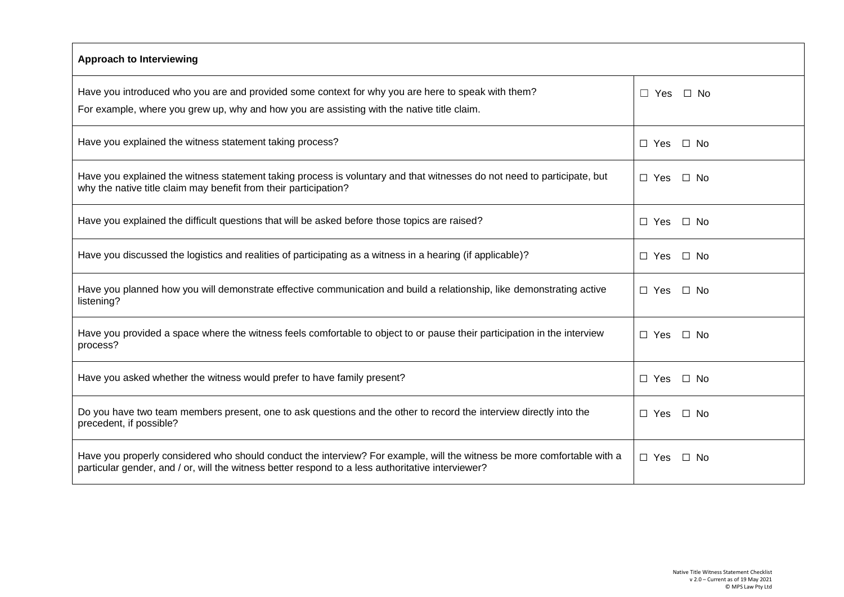| <b>Approach to Interviewing</b>                                                                                          |                            |  |
|--------------------------------------------------------------------------------------------------------------------------|----------------------------|--|
| Have you introduced who you are and provided some context for why you are here to speak with them?                       | $\Box$ No                  |  |
| For example, where you grew up, why and how you are assisting with the native title claim.                               | $\Box$ Yes                 |  |
| Have you explained the witness statement taking process?                                                                 | $\Box$ Yes<br>$\Box$ No    |  |
| Have you explained the witness statement taking process is voluntary and that witnesses do not need to participate, but  | $\Box$ No                  |  |
| why the native title claim may benefit from their participation?                                                         | $\Box$ Yes                 |  |
| Have you explained the difficult questions that will be asked before those topics are raised?                            | $\Box$ Yes<br>$\Box$ No    |  |
| Have you discussed the logistics and realities of participating as a witness in a hearing (if applicable)?               | $\Box$ Yes<br>$\square$ No |  |
| Have you planned how you will demonstrate effective communication and build a relationship, like demonstrating active    | $\Box$ Yes                 |  |
| listening?                                                                                                               | $\Box$ No                  |  |
| Have you provided a space where the witness feels comfortable to object to or pause their participation in the interview | $\Box$ Yes                 |  |
| process?                                                                                                                 | $\Box$ No                  |  |
| Have you asked whether the witness would prefer to have family present?                                                  | $\Box$ No<br>$\Box$ Yes    |  |
| Do you have two team members present, one to ask questions and the other to record the interview directly into the       | □ Yes                      |  |
| precedent, if possible?                                                                                                  | ∩ No                       |  |
| Have you properly considered who should conduct the interview? For example, will the witness be more comfortable with a  | $\Box$ Yes                 |  |
| particular gender, and / or, will the witness better respond to a less authoritative interviewer?                        | ∩ No                       |  |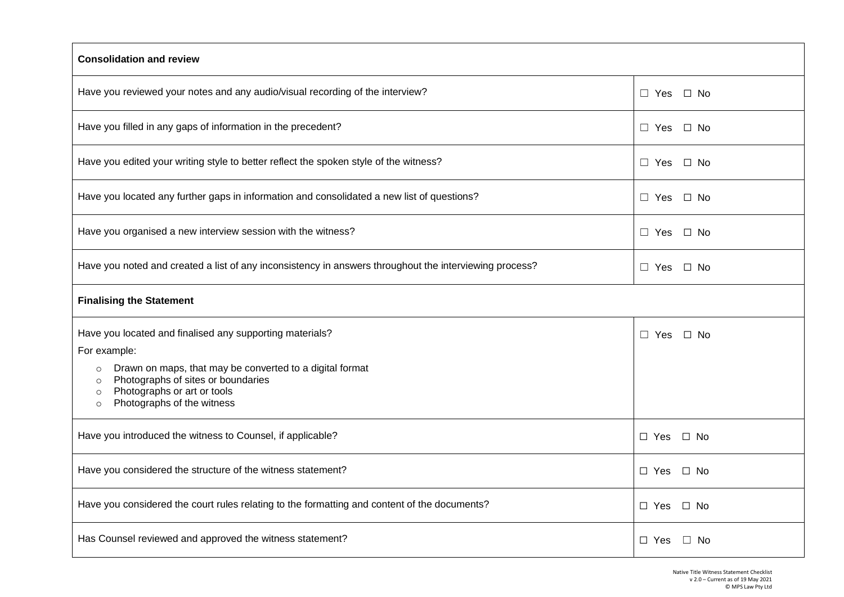| <b>Consolidation and review</b>                                                                                                                                                                                                                                                     |                            |  |  |
|-------------------------------------------------------------------------------------------------------------------------------------------------------------------------------------------------------------------------------------------------------------------------------------|----------------------------|--|--|
| Have you reviewed your notes and any audio/visual recording of the interview?                                                                                                                                                                                                       | $\square$ No<br>$\Box$ Yes |  |  |
| Have you filled in any gaps of information in the precedent?                                                                                                                                                                                                                        | $\square$ No<br>$\Box$ Yes |  |  |
| Have you edited your writing style to better reflect the spoken style of the witness?                                                                                                                                                                                               | $\Box$ Yes $\Box$ No       |  |  |
| Have you located any further gaps in information and consolidated a new list of questions?                                                                                                                                                                                          | $\square$ No<br>$\Box$ Yes |  |  |
| Have you organised a new interview session with the witness?                                                                                                                                                                                                                        | $\square$ No<br>$\Box$ Yes |  |  |
| Have you noted and created a list of any inconsistency in answers throughout the interviewing process?                                                                                                                                                                              | $\square$ No<br>$\Box$ Yes |  |  |
| <b>Finalising the Statement</b>                                                                                                                                                                                                                                                     |                            |  |  |
| Have you located and finalised any supporting materials?<br>For example:<br>Drawn on maps, that may be converted to a digital format<br>$\circ$<br>Photographs of sites or boundaries<br>$\circ$<br>Photographs or art or tools<br>$\circ$<br>Photographs of the witness<br>$\circ$ | $\Box$ Yes<br>$\Box$ No    |  |  |
| Have you introduced the witness to Counsel, if applicable?                                                                                                                                                                                                                          | $\Box$ Yes<br>$\Box$ No    |  |  |
| Have you considered the structure of the witness statement?                                                                                                                                                                                                                         | $\Box$ Yes<br>$\Box$ No    |  |  |
| Have you considered the court rules relating to the formatting and content of the documents?                                                                                                                                                                                        | $\Box$ Yes<br>$\Box$ No    |  |  |
| Has Counsel reviewed and approved the witness statement?                                                                                                                                                                                                                            | □ Yes<br>$\Box$ No         |  |  |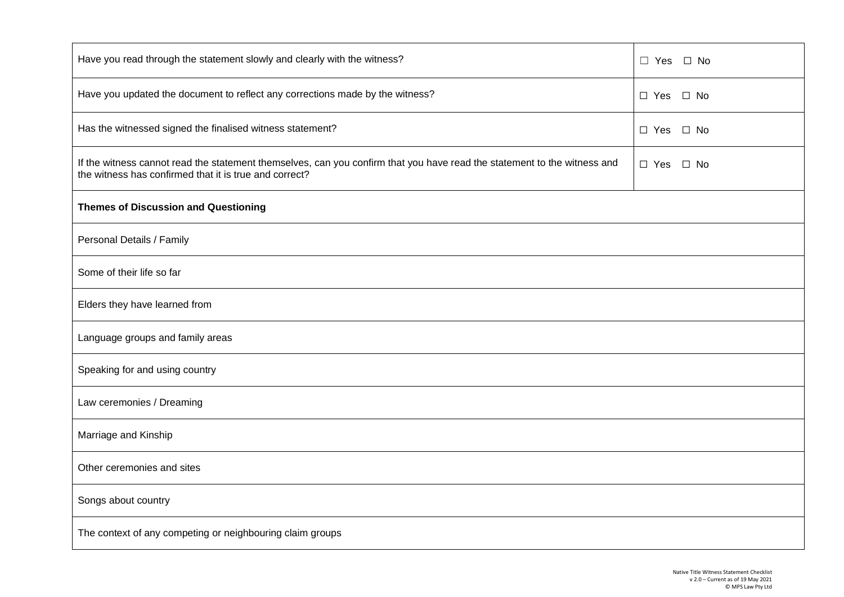| Have you read through the statement slowly and clearly with the witness?                                                                                                           | □ Yes □ No                 |  |  |
|------------------------------------------------------------------------------------------------------------------------------------------------------------------------------------|----------------------------|--|--|
| Have you updated the document to reflect any corrections made by the witness?                                                                                                      | $\Box$ Yes $\Box$ No       |  |  |
| Has the witnessed signed the finalised witness statement?                                                                                                                          | $\Box$ Yes<br>$\square$ No |  |  |
| If the witness cannot read the statement themselves, can you confirm that you have read the statement to the witness and<br>the witness has confirmed that it is true and correct? | $\Box$ Yes $\Box$ No       |  |  |
| <b>Themes of Discussion and Questioning</b>                                                                                                                                        |                            |  |  |
| Personal Details / Family                                                                                                                                                          |                            |  |  |
| Some of their life so far                                                                                                                                                          |                            |  |  |
| Elders they have learned from                                                                                                                                                      |                            |  |  |
| Language groups and family areas                                                                                                                                                   |                            |  |  |
| Speaking for and using country                                                                                                                                                     |                            |  |  |
| Law ceremonies / Dreaming                                                                                                                                                          |                            |  |  |
| Marriage and Kinship                                                                                                                                                               |                            |  |  |
| Other ceremonies and sites                                                                                                                                                         |                            |  |  |
| Songs about country                                                                                                                                                                |                            |  |  |
| The context of any competing or neighbouring claim groups                                                                                                                          |                            |  |  |